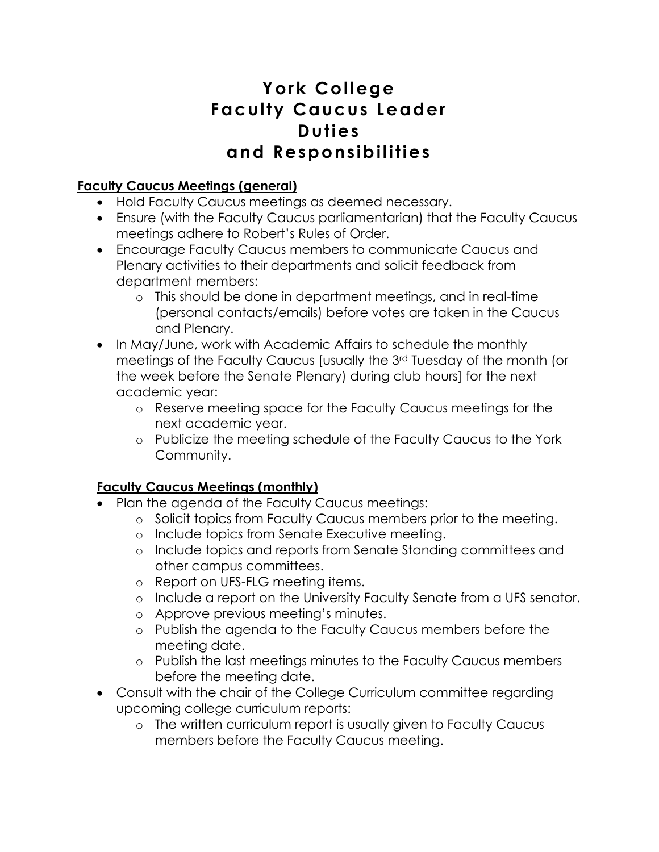# **York College Faculty Caucus Leader Duties and Responsibilities**

## **Faculty Caucus Meetings (general)**

- Hold Faculty Caucus meetings as deemed necessary.
- Ensure (with the Faculty Caucus parliamentarian) that the Faculty Caucus meetings adhere to Robert's Rules of Order.
- Encourage Faculty Caucus members to communicate Caucus and Plenary activities to their departments and solicit feedback from department members:
	- o This should be done in department meetings, and in real-time (personal contacts/emails) before votes are taken in the Caucus and Plenary.
- In May/June, work with Academic Affairs to schedule the monthly meetings of the Faculty Caucus [usually the 3rd Tuesday of the month (or the week before the Senate Plenary) during club hours] for the next academic year:
	- o Reserve meeting space for the Faculty Caucus meetings for the next academic year.
	- o Publicize the meeting schedule of the Faculty Caucus to the York Community.

#### **Faculty Caucus Meetings (monthly)**

- Plan the agenda of the Faculty Caucus meetings:
	- o Solicit topics from Faculty Caucus members prior to the meeting.
	- o Include topics from Senate Executive meeting.
	- o Include topics and reports from Senate Standing committees and other campus committees.
	- o Report on UFS-FLG meeting items.
	- o Include a report on the University Faculty Senate from a UFS senator.
	- o Approve previous meeting's minutes.
	- o Publish the agenda to the Faculty Caucus members before the meeting date.
	- o Publish the last meetings minutes to the Faculty Caucus members before the meeting date.
- Consult with the chair of the College Curriculum committee regarding upcoming college curriculum reports:
	- o The written curriculum report is usually given to Faculty Caucus members before the Faculty Caucus meeting.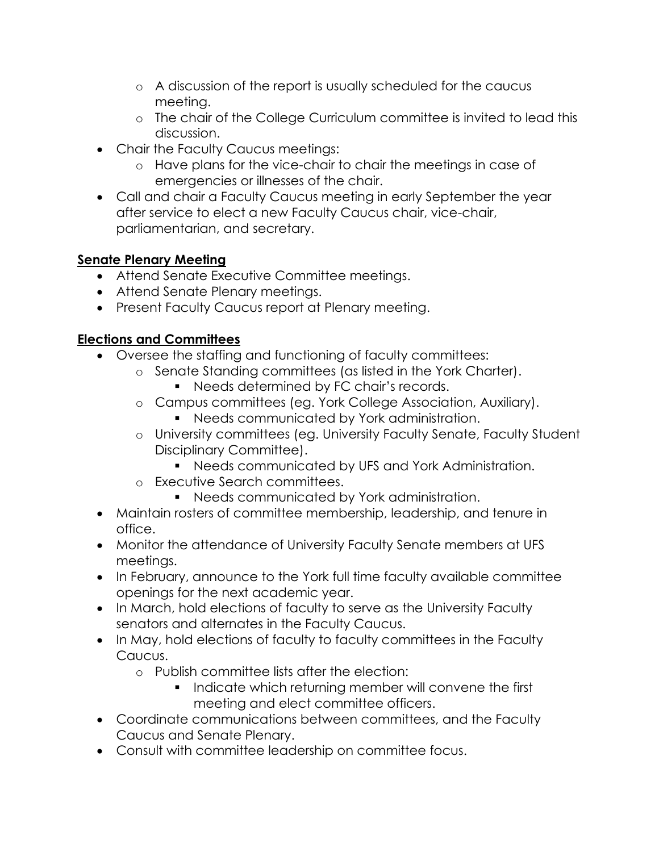- o A discussion of the report is usually scheduled for the caucus meeting.
- o The chair of the College Curriculum committee is invited to lead this discussion.
- Chair the Faculty Caucus meetings:
	- o Have plans for the vice-chair to chair the meetings in case of emergencies or illnesses of the chair.
- Call and chair a Faculty Caucus meeting in early September the year after service to elect a new Faculty Caucus chair, vice-chair, parliamentarian, and secretary.

## **Senate Plenary Meeting**

- Attend Senate Executive Committee meetings.
- Attend Senate Plenary meetings.
- Present Faculty Caucus report at Plenary meeting.

## **Elections and Committees**

- Oversee the staffing and functioning of faculty committees:
	- o Senate Standing committees (as listed in the York Charter).
		- Needs determined by FC chair's records.
	- o Campus committees (eg. York College Association, Auxiliary).
		- Needs communicated by York administration.
	- o University committees (eg. University Faculty Senate, Faculty Student Disciplinary Committee).
		- Needs communicated by UFS and York Administration.
	- o Executive Search committees.
		- Needs communicated by York administration.
- Maintain rosters of committee membership, leadership, and tenure in office.
- Monitor the attendance of University Faculty Senate members at UFS meetings.
- In February, announce to the York full time faculty available committee openings for the next academic year.
- In March, hold elections of faculty to serve as the University Faculty senators and alternates in the Faculty Caucus.
- In May, hold elections of faculty to faculty committees in the Faculty Caucus.
	- o Publish committee lists after the election:
		- Indicate which returning member will convene the first meeting and elect committee officers.
- Coordinate communications between committees, and the Faculty Caucus and Senate Plenary.
- Consult with committee leadership on committee focus.